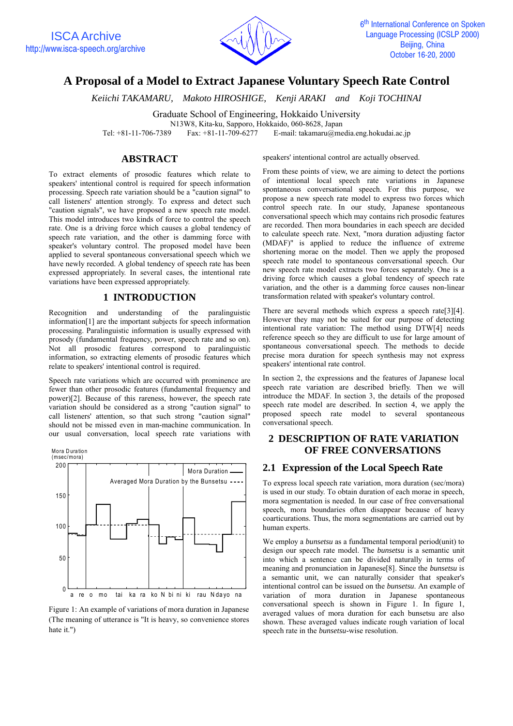

# **A Proposal of a Model to Extract Japanese Voluntary Speech Rate Control**

*Keiichi TAKAMARU, Makoto HIROSHIGE, Kenji ARAKI and Koji TOCHINAI*

Graduate School of Engineering, Hokkaido University

N13W8, Kita-ku, Sapporo, Hokkaido, 060-8628, Japan

Tel: +81-11-706-7389 Fax: +81-11-709-6277 E-mail: takamaru@media.eng.hokudai.ac.jp

### **ABSTRACT**

To extract elements of prosodic features which relate to speakers' intentional control is required for speech information processing. Speech rate variation should be a "caution signal" to call listeners' attention strongly. To express and detect such "caution signals", we have proposed a new speech rate model. This model introduces two kinds of force to control the speech rate. One is a driving force which causes a global tendency of speech rate variation, and the other is damming force with speaker's voluntary control. The proposed model have been applied to several spontaneous conversational speech which we have newly recorded. A global tendency of speech rate has been expressed appropriately. In several cases, the intentional rate variations have been expressed appropriately.

### **1 INTRODUCTION**

Recognition and understanding of the paralinguistic information[1] are the important subjects for speech information processing. Paralinguistic information is usually expressed with prosody (fundamental frequency, power, speech rate and so on). Not all prosodic features correspond to paralinguistic information, so extracting elements of prosodic features which relate to speakers' intentional control is required.

Speech rate variations which are occurred with prominence are fewer than other prosodic features (fundamental frequency and power)[2]. Because of this rareness, however, the speech rate variation should be considered as a strong "caution signal" to call listeners' attention, so that such strong "caution signal" should not be missed even in man-machine communication. In our usual conversation, local speech rate variations with





Figure 1: An example of variations of mora duration in Japanese (The meaning of utterance is "It is heavy, so convenience stores hate it.")

speakers' intentional control are actually observed.

From these points of view, we are aiming to detect the portions of intentional local speech rate variations in Japanese spontaneous conversational speech. For this purpose, we propose a new speech rate model to express two forces which control speech rate. In our study, Japanese spontaneous conversational speech which may contains rich prosodic features are recorded. Then mora boundaries in each speech are decided to calculate speech rate. Next, "mora duration adjusting factor (MDAF)" is applied to reduce the influence of extreme shortening morae on the model. Then we apply the proposed speech rate model to spontaneous conversational speech. Our new speech rate model extracts two forces separately. One is a driving force which causes a global tendency of speech rate variation, and the other is a damming force causes non-linear transformation related with speaker's voluntary control.

There are several methods which express a speech rate<sup>[3][4]</sup>. However they may not be suited for our purpose of detecting intentional rate variation: The method using DTW[4] needs reference speech so they are difficult to use for large amount of spontaneous conversational speech. The methods to decide precise mora duration for speech synthesis may not express speakers' intentional rate control.

In section 2, the expressions and the features of Japanese local speech rate variation are described briefly. Then we will introduce the MDAF. In section 3, the details of the proposed speech rate model are described. In section 4, we apply the proposed speech rate model to several spontaneous conversational speech.

### **2 DESCRIPTION OF RATE VARIATION OF FREE CONVERSATIONS**

### **2.1 Expression of the Local Speech Rate**

To express local speech rate variation, mora duration (sec/mora) is used in our study. To obtain duration of each morae in speech, mora segmentation is needed. In our case of free conversational speech, mora boundaries often disappear because of heavy coarticurations. Thus, the mora segmentations are carried out by human experts.

We employ a *bunsetsu* as a fundamental temporal period(unit) to design our speech rate model. The *bunsetsu* is a semantic unit into which a sentence can be divided naturally in terms of meaning and pronunciation in Japanese[8]. Since the *bunsetsu* is a semantic unit, we can naturally consider that speaker's intentional control can be issued on the *bunsetsu*. An example of variation of mora duration in Japanese spontaneous conversational speech is shown in Figure 1. In figure 1, averaged values of mora duration for each bunsetsu are also shown. These averaged values indicate rough variation of local speech rate in the *bunsetsu*-wise resolution.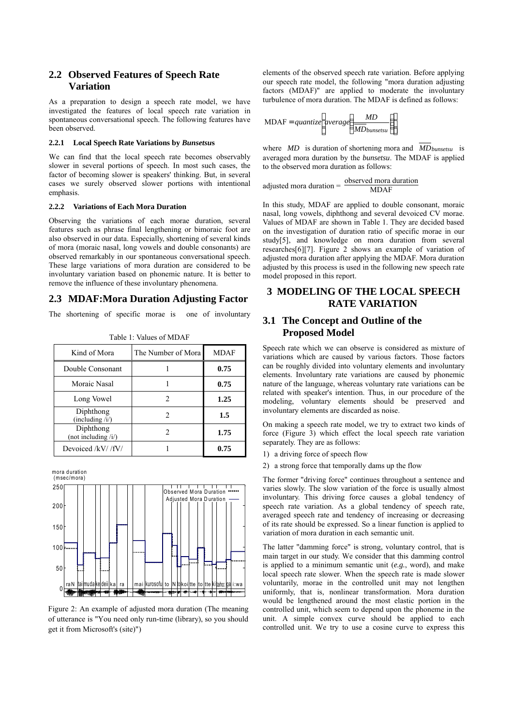### **2.2 Observed Features of Speech Rate Variation**

As a preparation to design a speech rate model, we have investigated the features of local speech rate variation in spontaneous conversational speech. The following features have been observed.

#### **2.2.1 Local Speech Rate Variations by** *Bunsetsu***s**

We can find that the local speech rate becomes observably slower in several portions of speech. In most such cases, the factor of becoming slower is speakers' thinking. But, in several cases we surely observed slower portions with intentional emphasis.

#### **2.2.2 Variations of Each Mora Duration**

Observing the variations of each morae duration, several features such as phrase final lengthening or bimoraic foot are also observed in our data. Especially, shortening of several kinds of mora (moraic nasal, long vowels and double consonants) are observed remarkably in our spontaneous conversational speech. These large variations of mora duration are considered to be involuntary variation based on phonemic nature. It is better to remove the influence of these involuntary phenomena.

#### **2.3 MDAF:Mora Duration Adjusting Factor**

The shortening of specific morae is one of involuntary

| Kind of Mora                       | The Number of Mora | MDAF |
|------------------------------------|--------------------|------|
| Double Consonant                   |                    | 0.75 |
| Moraic Nasal                       |                    | 0.75 |
| Long Vowel                         |                    | 1.25 |
| Diphthong<br>(including /i)        |                    | 1.5  |
| Diphthong<br>(not including $/i$ ) |                    | 1.75 |
| Devoiced /kV//fV/                  |                    | 0.75 |

Table 1: Values of MDAF



Figure 2: An example of adjusted mora duration (The meaning of utterance is "You need only run-time (library), so you should get it from Microsoft's (site)")

elements of the observed speech rate variation. Before applying our speech rate model, the following "mora duration adjusting factors (MDAF)" are applied to moderate the involuntary turbulence of mora duration. The MDAF is defined as follows:

$$
MDAF = quantize\left[average\left(\frac{MD}{MD_{bunsetsu}}\right)\right]
$$

where *MD* is duration of shortening mora and *MDbunsetsu* is averaged mora duration by the *bunsetsu*. The MDAF is applied to the observed mora duration as follows:

adjusted mora duration = 
$$
\frac{\text{observed mora duration}}{\text{MDAF}}
$$

In this study, MDAF are applied to double consonant, moraic nasal, long vowels, diphthong and several devoiced CV morae. Values of MDAF are shown in Table 1. They are decided based on the investigation of duration ratio of specific morae in our study[5], and knowledge on mora duration from several researches[6][7]. Figure 2 shows an example of variation of adjusted mora duration after applying the MDAF. Mora duration adjusted by this process is used in the following new speech rate model proposed in this report.

### **3 MODELING OF THE LOCAL SPEECH RATE VARIATION**

### **3.1 The Concept and Outline of the Proposed Model**

Speech rate which we can observe is considered as mixture of variations which are caused by various factors. Those factors can be roughly divided into voluntary elements and involuntary elements. Involuntary rate variations are caused by phonemic nature of the language, whereas voluntary rate variations can be related with speaker's intention. Thus, in our procedure of the modeling, voluntary elements should be preserved and involuntary elements are discarded as noise.

On making a speech rate model, we try to extract two kinds of force (Figure 3) which effect the local speech rate variation separately. They are as follows:

- 1) a driving force of speech flow
- 2) a strong force that temporally dams up the flow

The former "driving force" continues throughout a sentence and varies slowly. The slow variation of the force is usually almost involuntary. This driving force causes a global tendency of speech rate variation. As a global tendency of speech rate, averaged speech rate and tendency of increasing or decreasing of its rate should be expressed. So a linear function is applied to variation of mora duration in each semantic unit.

The latter "damming force" is strong, voluntary control, that is main target in our study. We consider that this damming control is applied to a minimum semantic unit (*e.g.*, word), and make local speech rate slower. When the speech rate is made slower voluntarily, morae in the controlled unit may not lengthen uniformly, that is, nonlinear transformation. Mora duration would be lengthened around the most elastic portion in the controlled unit, which seem to depend upon the phoneme in the unit. A simple convex curve should be applied to each controlled unit. We try to use a cosine curve to express this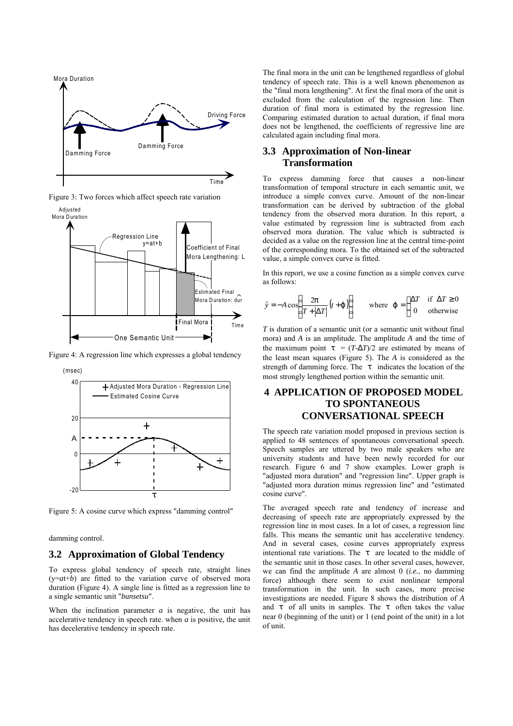

Figure 3: Two forces which affect speech rate variation



Figure 4: A regression line which expresses a global tendency





Figure 5: A cosine curve which express "damming control"

damming control.

### **3.2 Approximation of Global Tendency**

To express global tendency of speech rate, straight lines  $(y=at+b)$  are fitted to the variation curve of observed mora duration (Figure 4). A single line is fitted as a regression line to a single semantic unit "*bunsetsu*".

When the inclination parameter *a* is negative, the unit has accelerative tendency in speech rate. when *a* is positive, the unit has decelerative tendency in speech rate.

The final mora in the unit can be lengthened regardless of global tendency of speech rate. This is a well known phenomenon as the "final mora lengthening". At first the final mora of the unit is excluded from the calculation of the regression line. Then duration of final mora is estimated by the regression line. Comparing estimated duration to actual duration, if final mora does not be lengthened, the coefficients of regressive line are calculated again including final mora.

### **3.3 Approximation of Non-linear Transformation**

To express damming force that causes a non-linear transformation of temporal structure in each semantic unit, we introduce a simple convex curve. Amount of the non-linear transformation can be derived by subtraction of the global tendency from the observed mora duration. In this report, a value estimated by regression line is subtracted from each observed mora duration. The value which is subtracted is decided as a value on the regression line at the central time-point of the corresponding mora. To the obtained set of the subtracted value, a simple convex curve is fitted.

In this report, we use a cosine function as a simple convex curve as follows:

$$
\hat{y} = -A\cos\left(\frac{2p}{T + |\Delta T|}(t + j)\right) \quad \text{where } j = \begin{cases} \Delta T & \text{if } \Delta T \ge 0 \\ 0 & \text{otherwise} \end{cases}
$$

*T* is duration of a semantic unit (or a semantic unit without final mora) and *A* is an amplitude. The amplitude *A* and the time of the maximum point  $\mathbf{t} = (T - \Delta T)/2$  are estimated by means of the least mean squares (Figure 5). The *A* is considered as the strength of damming force. The *t* indicates the location of the most strongly lengthened portion within the semantic unit.

## **4 APPLICATION OF PROPOSED MODEL TO SPONTANEOUS CONVERSATIONAL SPEECH**

The speech rate variation model proposed in previous section is applied to 48 sentences of spontaneous conversational speech. Speech samples are uttered by two male speakers who are university students and have been newly recorded for our research. Figure 6 and 7 show examples. Lower graph is "adjusted mora duration" and "regression line". Upper graph is "adjusted mora duration minus regression line" and "estimated cosine curve".

The averaged speech rate and tendency of increase and decreasing of speech rate are appropriately expressed by the regression line in most cases. In a lot of cases, a regression line falls. This means the semantic unit has accelerative tendency. And in several cases, cosine curves appropriately express intentional rate variations. The *t* are located to the middle of the semantic unit in those cases. In other several cases, however, we can find the amplitude *A* are almost 0 (*i.e.*, no damming force) although there seem to exist nonlinear temporal transformation in the unit. In such cases, more precise investigations are needed. Figure 8 shows the distribution of *A* and *t* of all units in samples. The *t* often takes the value near 0 (beginning of the unit) or 1 (end point of the unit) in a lot of unit.